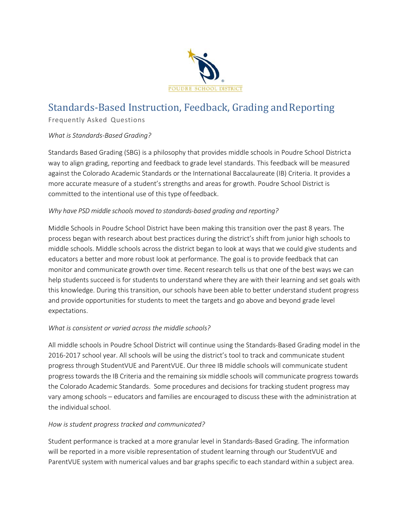

# Standards‐Based Instruction, Feedback, Grading andReporting

Frequently Asked Questions

## *What is Standards‐Based Grading?*

Standards Based Grading (SBG) is a philosophy that provides middle schools in Poudre School Districta way to align grading, reporting and feedback to grade level standards. This feedback will be measured against the Colorado Academic Standards or the International Baccalaureate (IB) Criteria. It provides a more accurate measure of a student's strengths and areas for growth. Poudre School District is committed to the intentional use of this type offeedback.

## *Why have PSD middle schools moved to standards‐based grading and reporting?*

Middle Schools in Poudre School District have been making this transition over the past 8 years. The process began with research about best practices during the district's shift from junior high schools to middle schools. Middle schools across the district began to look at ways that we could give students and educators a better and more robust look at performance. The goal is to provide feedback that can monitor and communicate growth over time. Recent research tells us that one of the best ways we can help students succeed is for students to understand where they are with their learning and set goals with this knowledge. During this transition, our schools have been able to better understand student progress and provide opportunities for students to meet the targets and go above and beyond grade level expectations.

## *What is consistent or varied across the middle schools?*

All middle schools in Poudre School District will continue using the Standards‐Based Grading model in the 2016-2017 school year. All schools will be using the district's tool to track and communicate student progress through StudentVUE and ParentVUE. Our three IB middle schools will communicate student progress towards the IB Criteria and the remaining six middle schools will communicate progress towards the Colorado Academic Standards. Some procedures and decisions for tracking student progress may vary among schools – educators and families are encouraged to discuss these with the administration at the individual school.

## *How is student progress tracked and communicated?*

Student performance is tracked at a more granular level in Standards‐Based Grading. The information will be reported in a more visible representation of student learning through our StudentVUE and ParentVUE system with numerical values and bar graphs specific to each standard within a subject area.